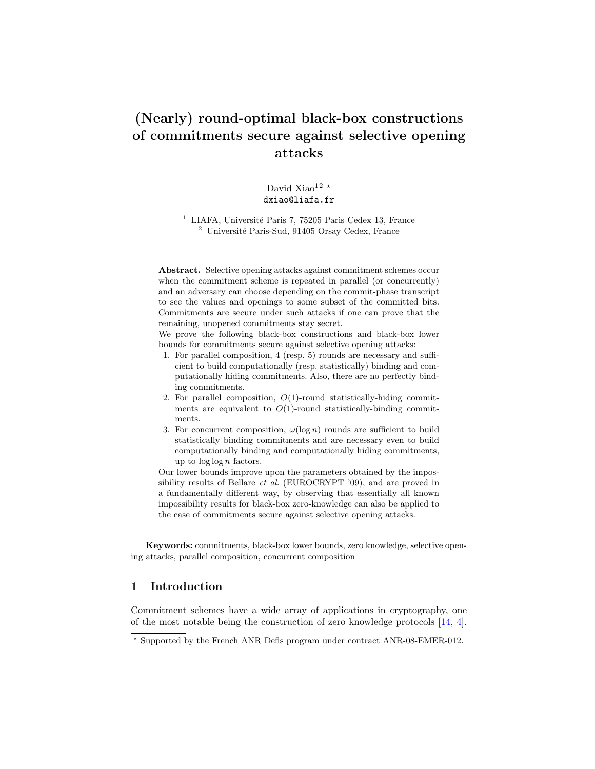# **(Nearly) round-optimal black-box constructions of commitments secure against selective opening attacks**

David Xiao<sup>12 \*</sup> dxiao@liafa.fr

 $^{\rm 1}$  LIAFA, Université Paris 7, 75205 Paris Cedex 13, France  $2$  Université Paris-Sud, 91405 Orsay Cedex, France

**Abstract.** Selective opening attacks against commitment schemes occur when the commitment scheme is repeated in parallel (or concurrently) and an adversary can choose depending on the commit-phase transcript to see the values and openings to some subset of the committed bits. Commitments are secure under such attacks if one can prove that the remaining, unopened commitments stay secret.

We prove the following black-box constructions and black-box lower bounds for commitments secure against selective opening attacks:

- 1. For parallel composition, 4 (resp. 5) rounds are necessary and sufficient to build computationally (resp. statistically) binding and computationally hiding commitments. Also, there are no perfectly binding commitments.
- 2. For parallel composition, *O*(1)-round statistically-hiding commitments are equivalent to  $O(1)$ -round statistically-binding commitments.
- 3. For concurrent composition,  $\omega(\log n)$  rounds are sufficient to build statistically binding commitments and are necessary even to build computationally binding and computationally hiding commitments, up to log log *n* factors.

Our lower bounds improve upon the parameters obtained by the impossibility results of Bellare *et al.* (EUROCRYPT '09), and are proved in a fundamentally different way, by observing that essentially all known impossibility results for black-box zero-knowledge can also be applied to the case of commitments secure against selective opening attacks.

**Keywords:** commitments, black-box lower bounds, zero knowledge, selective opening attacks, parallel composition, concurrent composition

# **1 Introduction**

Commitment schemes have a wide array of applications in cryptography, one of the most notable being the construction of zero knowledge protocols [\[14,](#page-16-0) [4\]](#page-16-1).

*<sup>⋆</sup>* Supported by the French ANR Defis program under contract ANR-08-EMER-012.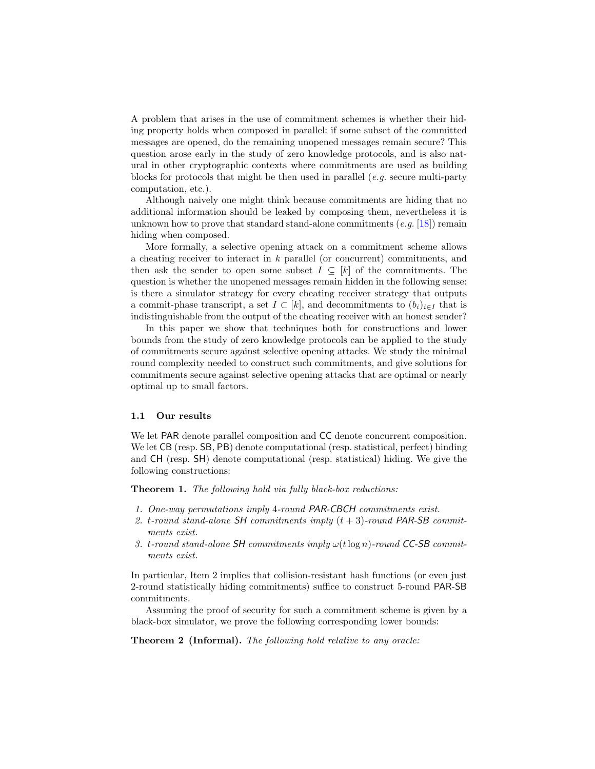A problem that arises in the use of commitment schemes is whether their hiding property holds when composed in parallel: if some subset of the committed messages are opened, do the remaining unopened messages remain secure? This question arose early in the study of zero knowledge protocols, and is also natural in other cryptographic contexts where commitments are used as building blocks for protocols that might be then used in parallel (*e.g.* secure multi-party computation, etc.).

Although naively one might think because commitments are hiding that no additional information should be leaked by composing them, nevertheless it is unknown how to prove that standard stand-alone commitments (*e.g.* [\[18\]](#page-17-0)) remain hiding when composed.

More formally, a selective opening attack on a commitment scheme allows a cheating receiver to interact in *k* parallel (or concurrent) commitments, and then ask the sender to open some subset  $I \subseteq [k]$  of the commitments. The question is whether the unopened messages remain hidden in the following sense: is there a simulator strategy for every cheating receiver strategy that outputs a commit-phase transcript, a set  $I \subset [k]$ , and decommitments to  $(b_i)_{i \in I}$  that is indistinguishable from the output of the cheating receiver with an honest sender?

In this paper we show that techniques both for constructions and lower bounds from the study of zero knowledge protocols can be applied to the study of commitments secure against selective opening attacks. We study the minimal round complexity needed to construct such commitments, and give solutions for commitments secure against selective opening attacks that are optimal or nearly optimal up to small factors.

# **1.1 Our results**

We let PAR denote parallel composition and CC denote concurrent composition. We let CB (resp. SB, PB) denote computational (resp. statistical, perfect) binding and CH (resp. SH) denote computational (resp. statistical) hiding. We give the following constructions:

<span id="page-1-1"></span>**Theorem 1.** *The following hold via fully black-box reductions:*

- *1. One-way permutations imply* 4*-round PAR-CBCH commitments exist.*
- *2. t-round stand-alone SH commitments imply* (*t* + 3)*-round PAR-SB commitments exist.*
- *3. t-round stand-alone SH commitments imply ω*(*t*log *n*)*-round CC-SB commitments exist.*

In particular, Item 2 implies that collision-resistant hash functions (or even just 2-round statistically hiding commitments) suffice to construct 5-round PAR-SB commitments.

<span id="page-1-0"></span>Assuming the proof of security for such a commitment scheme is given by a black-box simulator, we prove the following corresponding lower bounds:

**Theorem 2 (Informal).** *The following hold relative to any oracle:*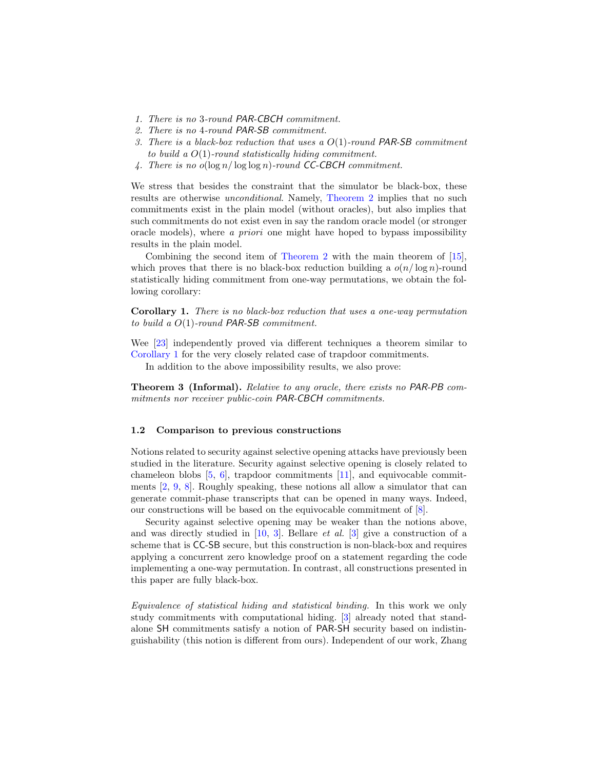- *1. There is no* 3*-round PAR-CBCH commitment.*
- *2. There is no* 4*-round PAR-SB commitment.*
- *3. There is a black-box reduction that uses a O*(1)*-round PAR-SB commitment to build a O*(1)*-round statistically hiding commitment.*
- *4. There is no o*(log *n/* log log *n*)*-round CC-CBCH commitment.*

We stress that besides the constraint that the simulator be black-box, these results are otherwise *unconditional*. Namely, [Theorem 2](#page-1-0) implies that no such commitments exist in the plain model (without oracles), but also implies that such commitments do not exist even in say the random oracle model (or stronger oracle models), where *a priori* one might have hoped to bypass impossibility results in the plain model.

Combining the second item of [Theorem 2](#page-1-0) with the main theorem of [\[15\]](#page-16-2), which proves that there is no black-box reduction building a  $o(n/\log n)$ -round statistically hiding commitment from one-way permutations, we obtain the following corollary:

<span id="page-2-0"></span>**Corollary 1.** *There is no black-box reduction that uses a one-way permutation to build a O*(1)*-round PAR-SB commitment.*

Wee [\[23\]](#page-17-1) independently proved via different techniques a theorem similar to [Corollary 1](#page-2-0) for the very closely related case of trapdoor commitments.

<span id="page-2-1"></span>In addition to the above impossibility results, we also prove:

**Theorem 3 (Informal).** *Relative to any oracle, there exists no PAR-PB commitments nor receiver public-coin PAR-CBCH commitments.*

#### **1.2 Comparison to previous constructions**

Notions related to security against selective opening attacks have previously been studied in the literature. Security against selective opening is closely related to chameleon blobs [\[5,](#page-16-3) [6\]](#page-16-4), trapdoor commitments [\[11\]](#page-16-5), and equivocable commitments [\[2,](#page-16-6) [9,](#page-16-7) [8\]](#page-16-8). Roughly speaking, these notions all allow a simulator that can generate commit-phase transcripts that can be opened in many ways. Indeed, our constructions will be based on the equivocable commitment of [\[8\]](#page-16-8).

Security against selective opening may be weaker than the notions above, and was directly studied in [\[10,](#page-16-9) [3\]](#page-16-10). Bellare *et al.* [\[3\]](#page-16-10) give a construction of a scheme that is CC-SB secure, but this construction is non-black-box and requires applying a concurrent zero knowledge proof on a statement regarding the code implementing a one-way permutation. In contrast, all constructions presented in this paper are fully black-box.

*Equivalence of statistical hiding and statistical binding.* In this work we only study commitments with computational hiding. [\[3\]](#page-16-10) already noted that standalone SH commitments satisfy a notion of PAR-SH security based on indistinguishability (this notion is different from ours). Independent of our work, Zhang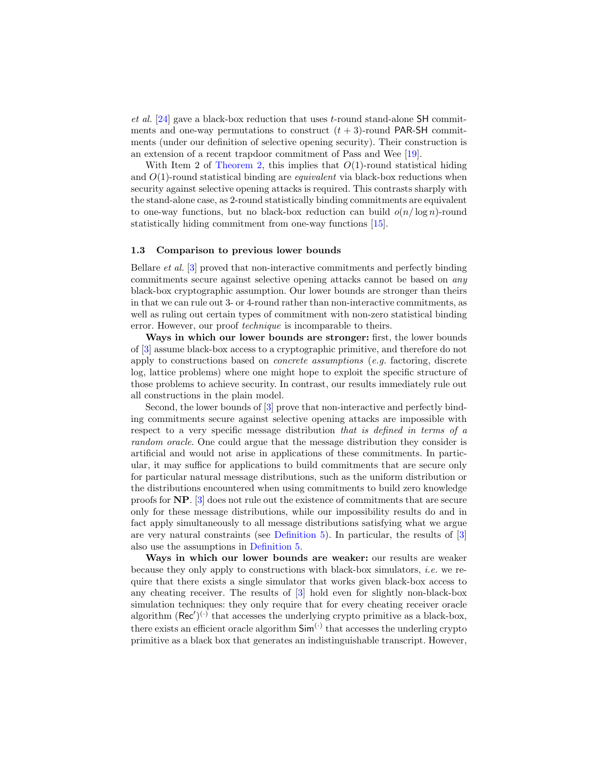*et al.* [\[24\]](#page-17-2) gave a black-box reduction that uses *t*-round stand-alone SH commitments and one-way permutations to construct  $(t + 3)$ -round PAR-SH commitments (under our definition of selective opening security). Their construction is an extension of a recent trapdoor commitment of Pass and Wee [\[19\]](#page-17-3).

With Item 2 of [Theorem 2,](#page-1-0) this implies that  $O(1)$ -round statistical hiding and *O*(1)-round statistical binding are *equivalent* via black-box reductions when security against selective opening attacks is required. This contrasts sharply with the stand-alone case, as 2-round statistically binding commitments are equivalent to one-way functions, but no black-box reduction can build  $o(n/\log n)$ -round statistically hiding commitment from one-way functions [\[15\]](#page-16-2).

# **1.3 Comparison to previous lower bounds**

Bellare *et al.* [\[3\]](#page-16-10) proved that non-interactive commitments and perfectly binding commitments secure against selective opening attacks cannot be based on *any* black-box cryptographic assumption. Our lower bounds are stronger than theirs in that we can rule out 3- or 4-round rather than non-interactive commitments, as well as ruling out certain types of commitment with non-zero statistical binding error. However, our proof *technique* is incomparable to theirs.

**Ways in which our lower bounds are stronger:** first, the lower bounds of [\[3\]](#page-16-10) assume black-box access to a cryptographic primitive, and therefore do not apply to constructions based on *concrete assumptions* (*e.g.* factoring, discrete log, lattice problems) where one might hope to exploit the specific structure of those problems to achieve security. In contrast, our results immediately rule out all constructions in the plain model.

Second, the lower bounds of [\[3\]](#page-16-10) prove that non-interactive and perfectly binding commitments secure against selective opening attacks are impossible with respect to a very specific message distribution *that is defined in terms of a random oracle*. One could argue that the message distribution they consider is artificial and would not arise in applications of these commitments. In particular, it may suffice for applications to build commitments that are secure only for particular natural message distributions, such as the uniform distribution or the distributions encountered when using commitments to build zero knowledge proofs for **NP**. [\[3\]](#page-16-10) does not rule out the existence of commitments that are secure only for these message distributions, while our impossibility results do and in fact apply simultaneously to all message distributions satisfying what we argue are very natural constraints (see [Definition 5\)](#page-7-0). In particular, the results of [\[3\]](#page-16-10) also use the assumptions in [Definition 5.](#page-7-0)

**Ways in which our lower bounds are weaker:** our results are weaker because they only apply to constructions with black-box simulators, *i.e.* we require that there exists a single simulator that works given black-box access to any cheating receiver. The results of [\[3\]](#page-16-10) hold even for slightly non-black-box simulation techniques: they only require that for every cheating receiver oracle algorithm ( $\text{Rec}'$ )<sup>(·)</sup> that accesses the underlying crypto primitive as a black-box, there exists an efficient oracle algorithm  $Sim<sup>(.)</sup>$  that accesses the underling crypto primitive as a black box that generates an indistinguishable transcript. However,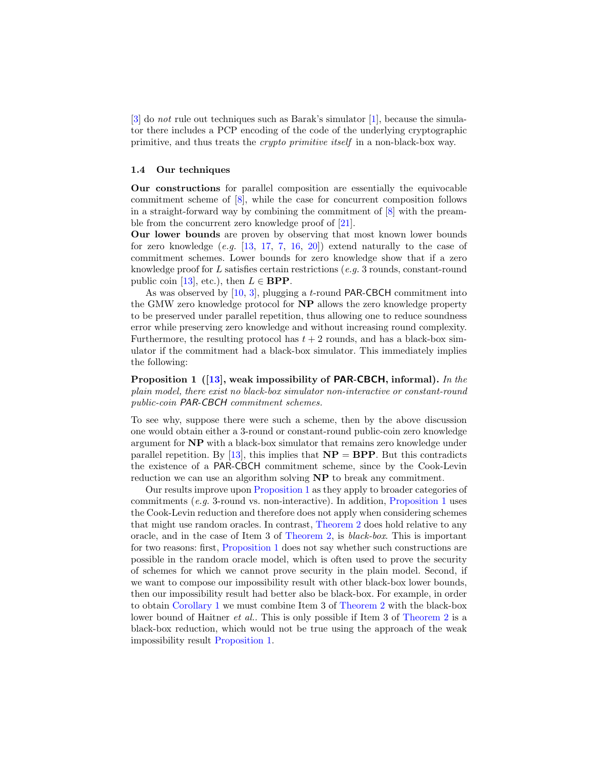[\[3\]](#page-16-10) do *not* rule out techniques such as Barak's simulator [\[1\]](#page-16-11), because the simulator there includes a PCP encoding of the code of the underlying cryptographic primitive, and thus treats the *crypto primitive itself* in a non-black-box way.

### **1.4 Our techniques**

**Our constructions** for parallel composition are essentially the equivocable commitment scheme of [\[8\]](#page-16-8), while the case for concurrent composition follows in a straight-forward way by combining the commitment of  $[8]$  with the preamble from the concurrent zero knowledge proof of [\[21\]](#page-17-4).

**Our lower bounds** are proven by observing that most known lower bounds for zero knowledge (*e.g.* [\[13,](#page-16-12) [17,](#page-17-5) [7,](#page-16-13) [16,](#page-17-6) [20\]](#page-17-7)) extend naturally to the case of commitment schemes. Lower bounds for zero knowledge show that if a zero knowledge proof for *L* satisfies certain restrictions (*e.g.* 3 rounds, constant-round public coin [\[13\]](#page-16-12), etc.), then  $L \in \text{BPP}$ .

As was observed by [\[10,](#page-16-9) [3\]](#page-16-10), plugging a *t*-round PAR-CBCH commitment into the GMW zero knowledge protocol for **NP** allows the zero knowledge property to be preserved under parallel repetition, thus allowing one to reduce soundness error while preserving zero knowledge and without increasing round complexity. Furthermore, the resulting protocol has  $t + 2$  rounds, and has a black-box simulator if the commitment had a black-box simulator. This immediately implies the following:

<span id="page-4-0"></span>**Proposition 1 ([\[13\]](#page-16-12), weak impossibility of PAR-CBCH, informal).** *In the plain model, there exist no black-box simulator non-interactive or constant-round public-coin PAR-CBCH commitment schemes.*

To see why, suppose there were such a scheme, then by the above discussion one would obtain either a 3-round or constant-round public-coin zero knowledge argument for **NP** with a black-box simulator that remains zero knowledge under parallel repetition. By  $[13]$ , this implies that  $NP = BPP$ . But this contradicts the existence of a PAR-CBCH commitment scheme, since by the Cook-Levin reduction we can use an algorithm solving **NP** to break any commitment.

Our results improve upon [Proposition 1](#page-4-0) as they apply to broader categories of commitments (*e.g.* 3-round vs. non-interactive). In addition, [Proposition 1](#page-4-0) uses the Cook-Levin reduction and therefore does not apply when considering schemes that might use random oracles. In contrast, [Theorem 2](#page-1-0) does hold relative to any oracle, and in the case of Item 3 of [Theorem 2,](#page-1-0) is *black-box*. This is important for two reasons: first, [Proposition 1](#page-4-0) does not say whether such constructions are possible in the random oracle model, which is often used to prove the security of schemes for which we cannot prove security in the plain model. Second, if we want to compose our impossibility result with other black-box lower bounds, then our impossibility result had better also be black-box. For example, in order to obtain [Corollary 1](#page-2-0) we must combine Item 3 of [Theorem 2](#page-1-0) with the black-box lower bound of Haitner *et al.*. This is only possible if Item 3 of [Theorem 2](#page-1-0) is a black-box reduction, which would not be true using the approach of the weak impossibility result [Proposition 1.](#page-4-0)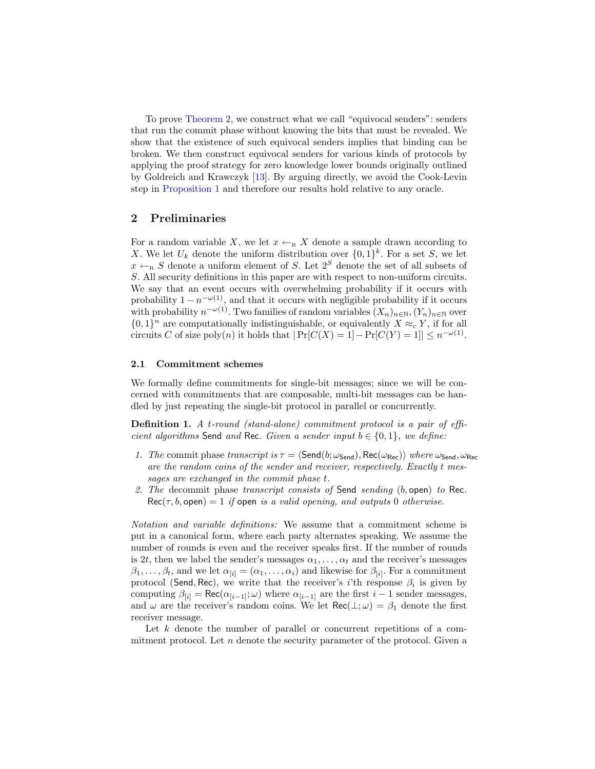To prove [Theorem 2,](#page-1-0) we construct what we call "equivocal senders": senders that run the commit phase without knowing the bits that must be revealed. We show that the existence of such equivocal senders implies that binding can be broken. We then construct equivocal senders for various kinds of protocols by applying the proof strategy for zero knowledge lower bounds originally outlined by Goldreich and Krawczyk [\[13\]](#page-16-12). By arguing directly, we avoid the Cook-Levin step in [Proposition 1](#page-4-0) and therefore our results hold relative to any oracle.

# **2 Preliminaries**

For a random variable *X*, we let  $x \leftarrow_R X$  denote a sample drawn according to *X*. We let  $U_k$  denote the uniform distribution over  $\{0,1\}^k$ . For a set *S*, we let  $x \leftarrow_R S$  denote a uniform element of *S*. Let  $2^S$  denote the set of all subsets of *S*. All security definitions in this paper are with respect to non-uniform circuits. We say that an event occurs with overwhelming probability if it occurs with probability  $1 - n^{-\omega(1)}$ , and that it occurs with negligible probability if it occurs with probability  $n^{-\omega(1)}$ . Two families of random variables  $(X_n)_{n \in \mathbb{N}}$ ,  $(Y_n)_{n \in \mathbb{N}}$  over  $\{0,1\}$ <sup>n</sup> are computationally indistinguishable, or equivalently *X* ≈*<sub>c</sub> Y*, if for all circuits *C* of size poly $(n)$  it holds that  $|Pr[C(X) = 1] - Pr[C(Y) = 1]| \leq n^{-\omega(1)}$ .

# **2.1 Commitment schemes**

We formally define commitments for single-bit messages; since we will be concerned with commitments that are composable, multi-bit messages can be handled by just repeating the single-bit protocol in parallel or concurrently.

**Definition 1.** *A t-round (stand-alone) commitment protocol is a pair of efficient algorithms* Send *and* Rec. *Given a sender input*  $b \in \{0, 1\}$ *, we define:* 

- *1. The* commit phase *transcript* is  $\tau = \langle \mathsf{Send}(b; \omega_{\mathsf{Send}}), \mathsf{Rec}(\omega_{\mathsf{Rec}}) \rangle$  *where*  $\omega_{\mathsf{Send}}$ *,*  $\omega_{\mathsf{Rec}}$ *are the random coins of the sender and receiver, respectively. Exactly t messages are exchanged in the commit phase t.*
- *2. The* decommit phase *transcript consists of* Send *sending* (*b,* open) *to* Rec*.*  $Rec(\tau, b, \text{open}) = 1$  *if* open *is a valid opening, and outputs* 0 *otherwise.*

*Notation and variable definitions:* We assume that a commitment scheme is put in a canonical form, where each party alternates speaking. We assume the number of rounds is even and the receiver speaks first. If the number of rounds is 2*t*, then we label the sender's messages  $\alpha_1, \ldots, \alpha_t$  and the receiver's messages  $\beta_1, \ldots, \beta_t$ , and we let  $\alpha_{[i]} = (\alpha_1, \ldots, \alpha_i)$  and likewise for  $\beta_{[i]}$ . For a commitment protocol (Send*,* Rec), we write that the receiver's *i*'th response *β<sup>i</sup>* is given by computing  $\beta_{[i]} = \text{Rec}(\alpha_{[i-1]}; \omega)$  where  $\alpha_{[i-1]}$  are the first  $i-1$  sender messages, and  $\omega$  are the receiver's random coins. We let  $\text{Rec}(\bot;\omega) = \beta_1$  denote the first receiver message.

Let *k* denote the number of parallel or concurrent repetitions of a commitment protocol. Let *n* denote the security parameter of the protocol. Given a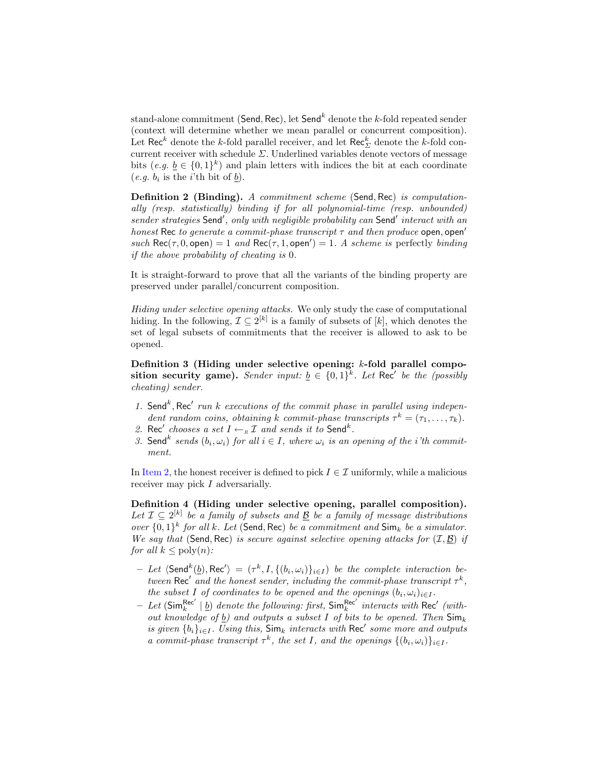stand-alone commitment (Send*,* Rec), let Send*<sup>k</sup>* denote the *k*-fold repeated sender (context will determine whether we mean parallel or concurrent composition). Let  $\text{Rec}^k$  denote the *k*-fold parallel receiver, and let  $\text{Rec}^k_{\Sigma}$  denote the *k*-fold concurrent receiver with schedule *Σ*. Underlined variables denote vectors of message bits  $(e.g. \underline{b} \in \{0,1\}^k)$  and plain letters with indices the bit at each coordinate  $(e.g. b_i$  is the *i*'th bit of  $\underline{b}$ ).

**Definition 2 (Binding).** *A commitment scheme* (Send*,* Rec) *is computationally (resp. statistically) binding if for all polynomial-time (resp. unbounded) sender strategies* Send*′ , only with negligible probability can* Send*′ interact with an honest* Rec *to generate a commit-phase transcript τ and then produce* open*,* open*′*  $such\,$   $Rec(\tau, 0, \text{open}) = 1$  *and*  $Rec(\tau, 1, \text{open}') = 1$ *. A scheme is* perfectly *binding if the above probability of cheating is* 0*.*

It is straight-forward to prove that all the variants of the binding property are preserved under parallel/concurrent composition.

*Hiding under selective opening attacks.* We only study the case of computational hiding. In the following,  $\mathcal{I} \subseteq 2^{[k]}$  is a family of subsets of  $[k]$ , which denotes the set of legal subsets of commitments that the receiver is allowed to ask to be opened.

**Definition 3 (Hiding under selective opening:** *k***-fold parallel composition security game).** *Sender input:*  $\underline{b} \in \{0,1\}^k$ . Let Rec<sup>'</sup> be the (possibly *cheating) sender.*

- 1. Send<sup>k</sup>, Rec<sup>'</sup> run *k* executions of the commit phase in parallel using indepen*dent random coins, obtaining k commit-phase transcripts*  $\tau^k = (\tau_1, \ldots, \tau_k)$ *.*
- <span id="page-6-0"></span>2. Rec<sup>'</sup> chooses a set  $I \leftarrow_R I$  and sends it to Send<sup>k</sup>.
- *3.* Send<sup>k</sup> sends  $(b_i, \omega_i)$  for all  $i \in I$ , where  $\omega_i$  is an opening of the *i*<sup>th</sup> commit*ment.*

In [Item 2,](#page-6-0) the honest receiver is defined to pick  $I \in \mathcal{I}$  uniformly, while a malicious receiver may pick *I* adversarially.

**Definition 4 (Hiding under selective opening, parallel composition).** *Let*  $I ⊆ 2<sup>[k]</sup>$  *be a family of subsets and*  $\underline{B}$  *be a family of message distributions over {*0*,* 1*} k for all k. Let* (Send*,* Rec) *be a commitment and* Sim*<sup>k</sup> be a simulator. We say that* (Send*,* Rec) *is secure against selective opening attacks for* (*I, B*) *if for all*  $k \leq \text{poly}(n)$ *:* 

- Let  $\langle \mathsf{Send}^k(\underline{b}), \mathsf{Rec}' \rangle = (\tau^k, I, \{(b_i, \omega_i)\}_{i \in I})$  be the complete interaction be*tween*  $\text{Rec}'$  and the honest sender, including the commit-phase transcript  $\tau^k$ , *the subset I of coordinates to be opened and the openings*  $(b_i, \omega_i)_{i \in I}$ .
- $-$  *Let* (Sim $^{\text{Rec'}}_k$  | <u>b</u>) *denote the following: first,* Sim $^{\text{Rec'}}_k$  *interacts with* Rec<sup>*′*</sup> *(without knowledge of b) and outputs a subset I of bits to be opened. Then* Sim*<sup>k</sup> is given*  $\{b_i\}_{i \in I}$ *. Using this,*  $\textsf{Sim}_k$  *interacts with*  $\textsf{Rec}'$  *some more and outputs a* commit-phase transcript  $\tau^k$ , the set *I*, and the openings  $\{(b_i, \omega_i)\}_{i \in I}$ .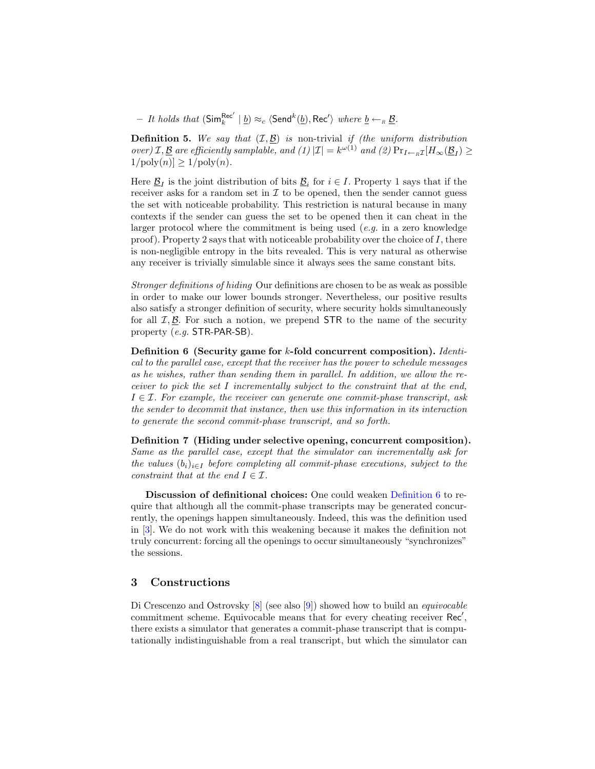$-$  *It holds that*  $(\mathsf{Sim}_{k}^{\mathsf{Rec}'} | \underline{b}) \approx_c (\mathsf{Send}^k(\underline{b}), \mathsf{Rec}')$  *where*  $\underline{b} \leftarrow_R \underline{\mathcal{B}}$ *.* 

<span id="page-7-0"></span>**Definition 5.** We say that  $(I, \underline{B})$  is non-trivial *if (the uniform distribution*)  $\mathcal{L}(\mathcal{L}) = \mathcal{L}(\mathcal{L}) \cdot \mathcal{L}(\mathcal{L}) = \mathcal{L}(\mathcal{L}) \cdot \mathcal{L}(\mathcal{L}) = \mathcal{L}(\mathcal{L}) \cdot \mathcal{L}(\mathcal{L}) \cdot \mathcal{L}(\mathcal{L}) = \mathcal{L}(\mathcal{L}) \cdot \mathcal{L}(\mathcal{L}) \cdot \mathcal{L}(\mathcal{L}) = \mathcal{L}(\mathcal{L}) \cdot \mathcal{L}(\mathcal{L}) \cdot \mathcal{L}(\mathcal{L}) = \mathcal{L}(\mathcal{L}) \cdot \mathcal{L}(\mathcal{L}) \cdot \math$  $1/\text{poly}(n) \geq 1/\text{poly}(n)$ .

Here  $\underline{\mathcal{B}}_I$  is the joint distribution of bits  $\underline{\mathcal{B}}_i$  for  $i \in I$ . Property 1 says that if the receiver asks for a random set in  $I$  to be opened, then the sender cannot guess the set with noticeable probability. This restriction is natural because in many contexts if the sender can guess the set to be opened then it can cheat in the larger protocol where the commitment is being used (*e.g.* in a zero knowledge proof). Property 2 says that with noticeable probability over the choice of *I*, there is non-negligible entropy in the bits revealed. This is very natural as otherwise any receiver is trivially simulable since it always sees the same constant bits.

*Stronger definitions of hiding* Our definitions are chosen to be as weak as possible in order to make our lower bounds stronger. Nevertheless, our positive results also satisfy a stronger definition of security, where security holds simultaneously for all  $I, B$ . For such a notion, we prepend STR to the name of the security property (*e.g.* STR-PAR-SB).

<span id="page-7-1"></span>**Definition 6 (Security game for** *k***-fold concurrent composition).** *Identical to the parallel case, except that the receiver has the power to schedule messages as he wishes, rather than sending them in parallel. In addition, we allow the receiver to pick the set I incrementally subject to the constraint that at the end, I ∈ I. For example, the receiver can generate one commit-phase transcript, ask the sender to decommit that instance, then use this information in its interaction to generate the second commit-phase transcript, and so forth.*

**Definition 7 (Hiding under selective opening, concurrent composition).** *Same as the parallel case, except that the simulator can incrementally ask for the values*  $(b_i)_{i \in I}$  *before completing all commit-phase executions, subject to the constraint that at the end*  $I \in \mathcal{I}$ *.* 

**Discussion of definitional choices:** One could weaken [Definition 6](#page-7-1) to require that although all the commit-phase transcripts may be generated concurrently, the openings happen simultaneously. Indeed, this was the definition used in [\[3\]](#page-16-10). We do not work with this weakening because it makes the definition not truly concurrent: forcing all the openings to occur simultaneously "synchronizes" the sessions.

# **3 Constructions**

Di Crescenzo and Ostrovsky [\[8\]](#page-16-8) (see also [\[9\]](#page-16-7)) showed how to build an *equivocable* commitment scheme. Equivocable means that for every cheating receiver Rec*′* , there exists a simulator that generates a commit-phase transcript that is computationally indistinguishable from a real transcript, but which the simulator can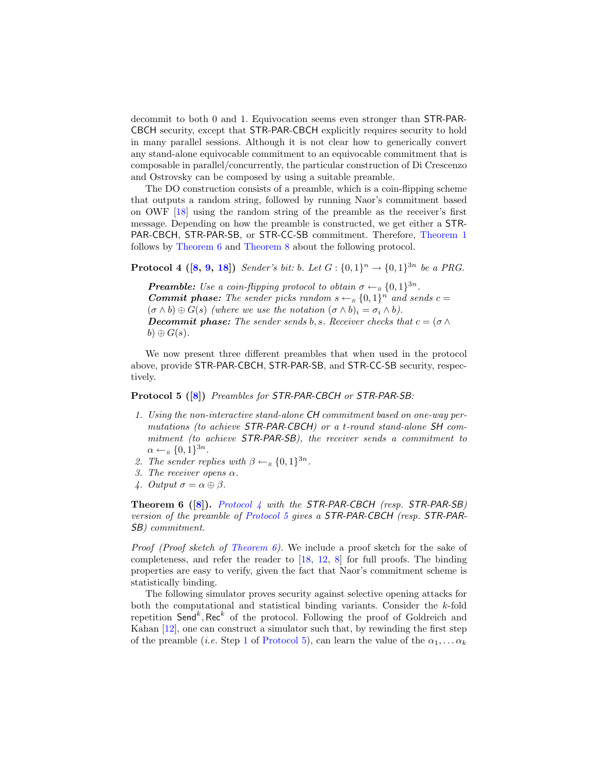decommit to both 0 and 1. Equivocation seems even stronger than STR-PAR-CBCH security, except that STR-PAR-CBCH explicitly requires security to hold in many parallel sessions. Although it is not clear how to generically convert any stand-alone equivocable commitment to an equivocable commitment that is composable in parallel/concurrently, the particular construction of Di Crescenzo and Ostrovsky can be composed by using a suitable preamble.

The DO construction consists of a preamble, which is a coin-flipping scheme that outputs a random string, followed by running Naor's commitment based on OWF [\[18\]](#page-17-0) using the random string of the preamble as the receiver's first message. Depending on how the preamble is constructed, we get either a STR-PAR-CBCH, STR-PAR-SB, or STR-CC-SB commitment. Therefore, [Theorem 1](#page-1-1) follows by [Theorem 6](#page-8-0) and [Theorem 8](#page-9-0) about the following protocol.

<span id="page-8-1"></span>**Protocol 4 ([\[8,](#page-16-8) [9,](#page-16-7) [18\]](#page-17-0)**) *Sender's bit: b. Let*  $G: \{0,1\}^n \to \{0,1\}^{3n}$  *be a PRG.* 

*<i>Preamble: Use a coin-flipping protocol to obtain*  $\sigma \leftarrow_R \{0,1\}^{3n}$ . *Commit phase: The sender picks random*  $s \leftarrow_R \{0,1\}^n$  *and sends*  $c =$  $(\sigma \wedge b) \oplus G(s)$  *(where we use the notation*  $(\sigma \wedge b)_i = \sigma_i \wedge b$ ). *Decommit phase: The sender sends b, s. Receiver checks that*  $c = (\sigma \wedge \sigma)$  $b) \oplus G(s)$ .

<span id="page-8-2"></span>We now present three different preambles that when used in the protocol above, provide STR-PAR-CBCH, STR-PAR-SB, and STR-CC-SB security, respectively.

### **Protocol 5 ([\[8\]](#page-16-8))** *Preambles for STR-PAR-CBCH or STR-PAR-SB:*

- <span id="page-8-3"></span>*1. Using the non-interactive stand-alone CH commitment based on one-way permutations (to achieve STR-PAR-CBCH) or a t-round stand-alone SH commitment (to achieve STR-PAR-SB), the receiver sends a commitment to*  $\alpha \leftarrow_R \{0, 1\}^{3n}$ .
- 2. *The sender replies with*  $\beta \leftarrow_R \{0, 1\}^{3n}$ *.*
- *3. The receiver opens α.*
- *4. Output*  $\sigma = \alpha \oplus \beta$ *.*

<span id="page-8-0"></span>**Theorem 6 ([\[8\]](#page-16-8)).** *[Protocol 4](#page-8-1) with the STR-PAR-CBCH (resp. STR-PAR-SB) version of the preamble of [Protocol 5](#page-8-2) gives a STR-PAR-CBCH (resp. STR-PAR-SB) commitment.*

*Proof (Proof sketch of [Theorem 6\)](#page-8-0).* We include a proof sketch for the sake of completeness, and refer the reader to [\[18,](#page-17-0) [12,](#page-16-14) [8\]](#page-16-8) for full proofs. The binding properties are easy to verify, given the fact that Naor's commitment scheme is statistically binding.

The following simulator proves security against selective opening attacks for both the computational and statistical binding variants. Consider the *k*-fold repetition Send<sup>k</sup>, Rec<sup>k</sup> of the protocol. Following the proof of Goldreich and Kahan [\[12\]](#page-16-14), one can construct a simulator such that, by rewinding the first step of the preamble (*i.e.* Step [1](#page-8-3) of [Protocol 5\)](#page-8-2), can learn the value of the  $\alpha_1, \ldots, \alpha_k$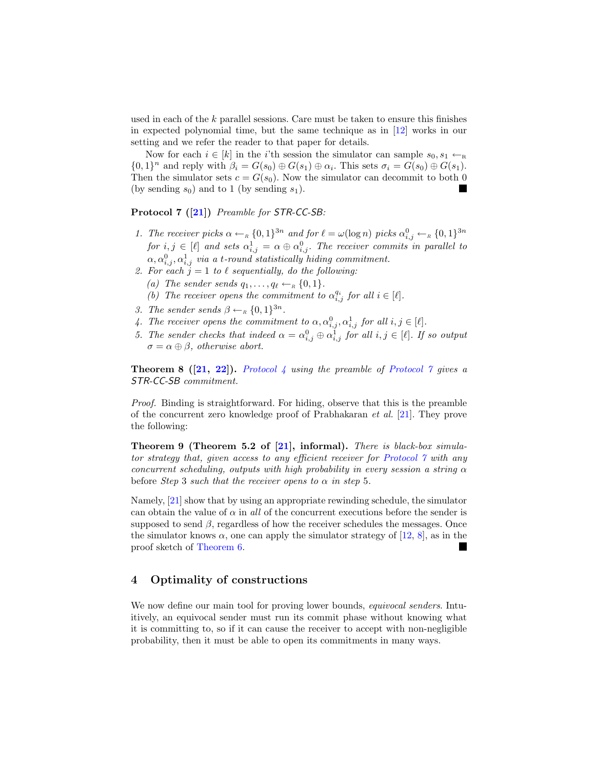used in each of the *k* parallel sessions. Care must be taken to ensure this finishes in expected polynomial time, but the same technique as in [\[12\]](#page-16-14) works in our setting and we refer the reader to that paper for details.

Now for each  $i \in [k]$  in the *i*'th session the simulator can sample  $s_0, s_1 \leftarrow_R$  $\{0,1\}^n$  and reply with  $\beta_i = G(s_0) \oplus G(s_1) \oplus \alpha_i$ . This sets  $\sigma_i = G(s_0) \oplus G(s_1)$ . Then the simulator sets  $c = G(s_0)$ . Now the simulator can decommit to both 0 (by sending  $s_0$ ) and to 1 (by sending  $s_1$ ).

<span id="page-9-1"></span>**Protocol 7 ([\[21\]](#page-17-4))** *Preamble for STR-CC-SB:*

- 1. The receiver picks  $\alpha \leftarrow_R \{0,1\}^{3n}$  and for  $\ell = \omega(\log n)$  picks  $\alpha_{i,j}^0 \leftarrow_R \{0,1\}^{3n}$ *for*  $i, j \in [\ell]$  *and sets*  $\alpha_{i,j}^1 = \alpha \oplus \alpha_{i,j}^0$ . The receiver commits in parallel to  $\alpha, \alpha_{i,j}^0, \alpha_{i,j}^1$  *via a t-round statistically hiding commitment.*
- 2. For each  $\ddot{j} = 1$  to  $\ell$  sequentially, do the following: *(a) The sender sends*  $q_1, \ldots, q_\ell \leftarrow_R \{0, 1\}$ *.* 
	- *(b) The receiver opens the commitment to*  $\alpha_{i,j}^{q_i}$  *for all*  $i \in [\ell]$ *.*
- *3. The sender sends*  $\beta \leftarrow_R \{0, 1\}^{3n}$ *.*
- *4. The receiver opens the commitment to*  $\alpha, \alpha_{i,j}^0, \alpha_{i,j}^1$  *for all*  $i, j \in [\ell]$ *.*
- *5. The sender checks that indeed*  $\alpha = \alpha_{i,j}^0 \oplus \alpha_{i,j}^1$  *for all*  $i, j \in [\ell]$ *. If so output*  $\sigma = \alpha \oplus \beta$ , *otherwise abort.*

<span id="page-9-0"></span>**Theorem 8 ([\[21,](#page-17-4) [22\]](#page-17-8)).** *[Protocol 4](#page-8-1) using the preamble of [Protocol 7](#page-9-1) gives a STR-CC-SB commitment.*

*Proof.* Binding is straightforward. For hiding, observe that this is the preamble of the concurrent zero knowledge proof of Prabhakaran *et al.* [\[21\]](#page-17-4). They prove the following:

**Theorem 9 (Theorem 5.2 of [\[21\]](#page-17-4), informal).** *There is black-box simulator strategy that, given access to any efficient receiver for [Protocol 7](#page-9-1) with any concurrent scheduling, outputs with high probability in every session a string α* before *Step* 3 *such that the receiver opens to*  $\alpha$  *in step* 5*.* 

Namely, [\[21\]](#page-17-4) show that by using an appropriate rewinding schedule, the simulator can obtain the value of  $\alpha$  in *all* of the concurrent executions before the sender is supposed to send  $\beta$ , regardless of how the receiver schedules the messages. Once the simulator knows  $\alpha$ , one can apply the simulator strategy of [\[12,](#page-16-14) [8\]](#page-16-8), as in the proof sketch of [Theorem 6.](#page-8-0)

# **4 Optimality of constructions**

We now define our main tool for proving lower bounds, *equivocal senders*. Intuitively, an equivocal sender must run its commit phase without knowing what it is committing to, so if it can cause the receiver to accept with non-negligible probability, then it must be able to open its commitments in many ways.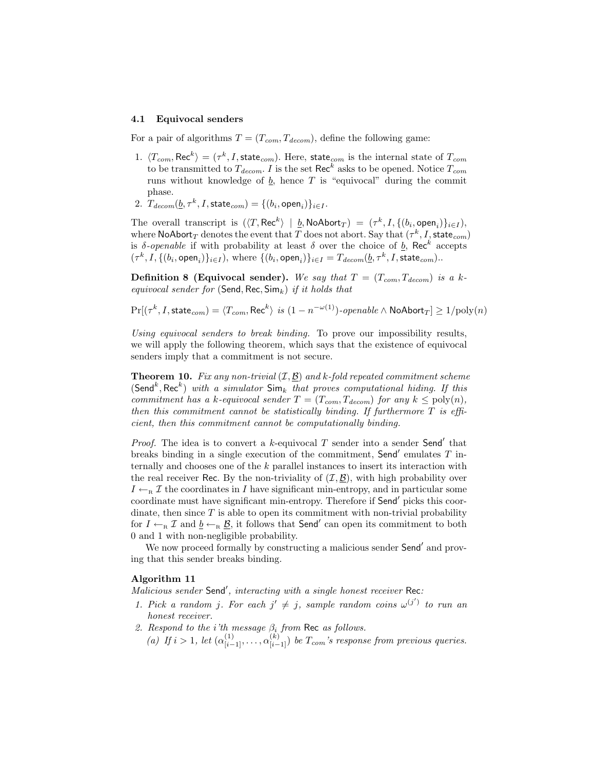#### **4.1 Equivocal senders**

For a pair of algorithms  $T = (T_{com}, T_{decom})$ , define the following game:

- 1.  $\langle T_{com}, \text{Rec}^k \rangle = (\tau^k, I, \text{state}_{com})$ . Here, state<sub>com</sub> is the internal state of  $T_{com}$ to be transmitted to  $T_{decom}$ . *I* is the set  $\text{Rec}^k$  asks to be opened. Notice  $T_{com}$ runs without knowledge of  $\underline{b}$ , hence  $T$  is "equivocal" during the commit phase.
- 2.  $T_{decom}(\underline{b}, \tau^k, I, \text{state}_{com}) = \{(b_i, \text{open}_i)\}_{i \in I}.$

The overall transcript is  $(\langle T, \text{Rec}^k \rangle \mid b, \text{NoAbort}_T) = (\tau^k, I, \{(b_i, \text{open}_i)\}_{i \in I}),$ where  $\mathsf{NoAbort}_T$  denotes the event that  $T$  does not abort. Say that  $(\tau^k,I,\mathsf{state}_{com})$ is *δ*-*openable* if with probability at least *δ* over the choice of <u>*b*</u>, Rec<sup>k</sup> accepts  $(\tau^k,I,\{(b_i,\mathsf{open}_i)\}_{i\in I}),$  where  $\{(b_i,\mathsf{open}_i)\}_{i\in I} = T_{decom}(\underline{b},\tau^k,I,\mathsf{state}_{com})$ .

<span id="page-10-0"></span>**Definition 8 (Equivocal sender).** We say that  $T = (T_{com}, T_{decom})$  is a k*equivocal sender for* (Send*,* Rec*,* Sim*k*) *if it holds that*

$$
\Pr[(\tau^k, I, \mathsf{state}_{com}) = \langle T_{com}, \mathsf{Rec}^k \rangle \text{ is } (1 - n^{-\omega(1)}) \cdot \text{openable} \land \mathsf{NoAbort}_T] \ge 1/\mathrm{poly}(n)
$$

*Using equivocal senders to break binding.* To prove our impossibility results, we will apply the following theorem, which says that the existence of equivocal senders imply that a commitment is not secure.

<span id="page-10-1"></span>**Theorem 10.** *Fix any non-trivial* (*I, B*) *and k-fold repeated commitment scheme*  $(Send<sup>k</sup>, Rec<sup>k</sup>)$  *with a simulator*  $Sim_k$  *that proves computational hiding. If this commitment has a k-equivocal sender*  $T = (T_{com}, T_{decom})$  *for any*  $k \leq poly(n)$ *, then this commitment cannot be statistically binding. If furthermore T is efficient, then this commitment cannot be computationally binding.*

*Proof.* The idea is to convert a *k*-equivocal *T* sender into a sender Send*′* that breaks binding in a single execution of the commitment, Send*′* emulates *T* internally and chooses one of the *k* parallel instances to insert its interaction with the real receiver Rec. By the non-triviality of  $(\mathcal{I}, \mathcal{B})$ , with high probability over  $I \leftarrow_R \mathcal{I}$  the coordinates in *I* have significant min-entropy, and in particular some coordinate must have significant min-entropy. Therefore if Send*′* picks this coordinate, then since  $T$  is able to open its commitment with non-trivial probability for  $I \leftarrow_R \mathcal{I}$  and  $\underline{b} \leftarrow_R \underline{B}$ , it follows that **Send<sup>'</sup>** can open its commitment to both 0 and 1 with non-negligible probability.

We now proceed formally by constructing a malicious sender Send*′* and proving that this sender breaks binding.

# **Algorithm 11**

*Malicious sender* Send*′ , interacting with a single honest receiver* Rec*:*

- *1. Pick a random j. For each*  $j' \neq j$ *, sample random coins*  $\omega^{(j')}$  *to run an honest receiver.*
- *2. Respond to the i'th message β<sup>i</sup> from* Rec *as follows.*
	- *(a) If*  $i > 1$ *, let*  $(\alpha_{[i-1]}^{(1)}, \ldots, \alpha_{[i-1]}^{(k)})$  *be*  $T_{com}$ *'s response from previous queries.*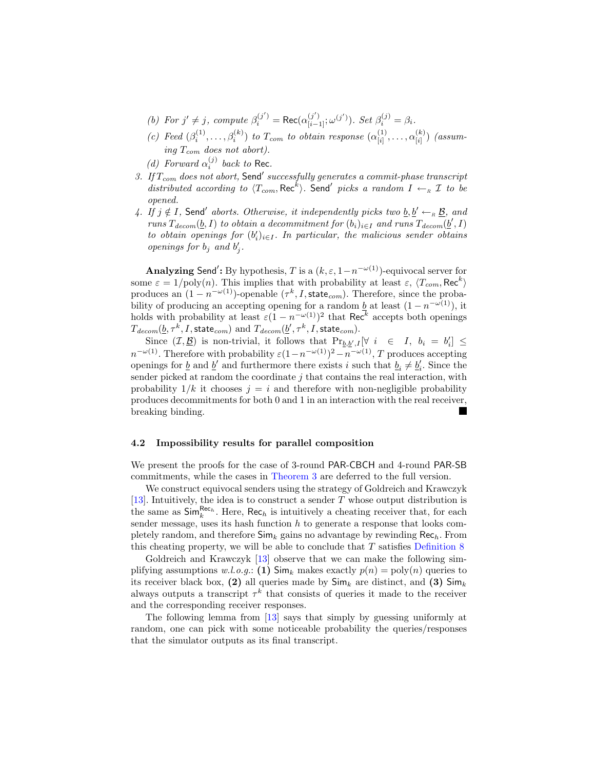- (b) For  $j' \neq j$ , compute  $\beta_i^{(j')} = \text{Rec}(\alpha_{[i-1]}^{(j')}; \omega^{(j')})$ . Set  $\beta_i^{(j)} = \beta_i$ .
- *(c)* Feed  $(\beta_i^{(1)}, \ldots, \beta_i^{(k)})$  *to*  $T_{com}$  *to obtain response*  $(\alpha_{[i]}^{(1)})$  $\alpha_{[i]}^{(1)}, \ldots, \alpha_{[i]}^{(k)}$  $\binom{\kappa}{[i]}$  *(assuming Tcom does not abort).*
- *(d) Forward*  $\alpha_i^{(j)}$  *back to* Rec.
- *3. If Tcom does not abort,* Send*′ successfully generates a commit-phase transcript distributed according to*  $\langle T_{com}$ , Rec<sup>k</sup> $\rangle$ . Send<sup>'</sup> picks a random  $I \leftarrow_R I$  to be *opened.*
- *4. If j* ∉ *I*, Send<sup>*'*</sup> aborts. Otherwise, it independently picks two  $\underline{b}, \underline{b}' \leftarrow_R \underline{B}$ , and *runs*  $T_{decom}(\underline{b}, I)$  *to obtain a decommitment for*  $(b_i)_{i \in I}$  *and runs*  $T_{decom}(\underline{b}', I)$ *to obtain openings for*  $(b'_i)_{i \in I}$ . In particular, the malicious sender obtains *openings for*  $b_j$  *and*  $b'_j$ .

**Analyzing** Send*′* **:** By hypothesis, *T* is a (*k, ε,* 1*−n <sup>−</sup>ω*(1))-equivocal server for some  $\varepsilon = 1/\text{poly}(n)$ . This implies that with probability at least  $\varepsilon$ ,  $\langle T_{com}$ , Rec<sup>k</sup> $\rangle$ produces an  $(1 - n^{-\omega(1)})$ -openable  $(\tau^k, I, \text{state}_{com})$ . Therefore, since the probability of producing an accepting opening for a random <u>b</u> at least  $(1 - n^{-\omega(1)})$ , it holds with probability at least  $\varepsilon(1 - n^{-\omega(1)})^2$  that Rec<sup>k</sup> accepts both openings  $T_{decom}(\underline{b}, \tau^k, I, \textsf{state}_{com}) \text{ and } T_{decom}(\underline{b}', \tau^k, I, \textsf{state}_{com}).$ 

Since  $(\mathcal{I}, \underline{\mathcal{B}})$  is non-trivial, it follows that  $Pr_{\underline{b}, \underline{b}', I}[\forall i \in I, b_i = b'_i] \leq$  $n^{-\omega(1)}$ . Therefore with probability  $\varepsilon(1-n^{-\omega(1)})^2 - n^{-\omega(1)}$ , *T* produces accepting openings for <u>*b*</u> and <u>*b*<sup>'</sup> and furthermore there exists *i* such that  $b_i \neq b_i'$ . Since the</u> sender picked at random the coordinate *j* that contains the real interaction, with probability  $1/k$  it chooses  $j = i$  and therefore with non-negligible probability produces decommitments for both 0 and 1 in an interaction with the real receiver, breaking binding.

### **4.2 Impossibility results for parallel composition**

We present the proofs for the case of 3-round PAR-CBCH and 4-round PAR-SB commitments, while the cases in [Theorem 3](#page-2-1) are deferred to the full version.

We construct equivocal senders using the strategy of Goldreich and Krawczyk [\[13\]](#page-16-12). Intuitively, the idea is to construct a sender *T* whose output distribution is the same as  $\mathsf{Sim}_{k}^{\mathsf{Rec}_{h}}$ . Here,  $\mathsf{Rec}_{h}$  is intuitively a cheating receiver that, for each sender message, uses its hash function  $h$  to generate a response that looks completely random, and therefore Sim*<sup>k</sup>* gains no advantage by rewinding Rec*h*. From this cheating property, we will be able to conclude that *T* satisfies [Definition 8](#page-10-0)

Goldreich and Krawczyk [\[13\]](#page-16-12) observe that we can make the following simplifying assumptions  $w.l.o.g.:$  (1)  $\textsf{Sim}_k$  makes exactly  $p(n) = \text{poly}(n)$  queries to its receiver black box,  $(2)$  all queries made by  $\mathsf{Sim}_k$  are distinct, and  $(3)$   $\mathsf{Sim}_k$ always outputs a transcript  $\tau^k$  that consists of queries it made to the receiver and the corresponding receiver responses.

<span id="page-11-0"></span>The following lemma from [\[13\]](#page-16-12) says that simply by guessing uniformly at random, one can pick with some noticeable probability the queries/responses that the simulator outputs as its final transcript.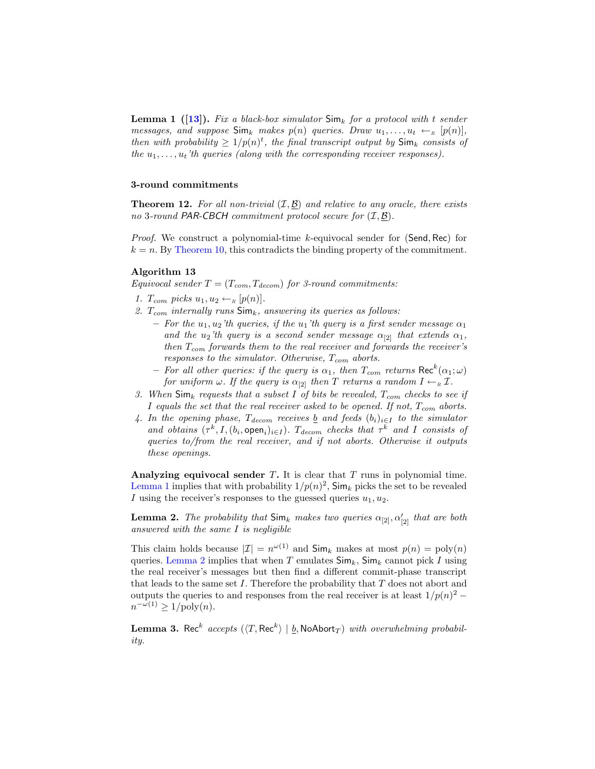**Lemma 1 ([\[13\]](#page-16-12)).** *Fix a black-box simulator* Sim*<sup>k</sup> for a protocol with t sender messages, and suppose*  $\textsf{Sim}_k$  *makes*  $p(n)$  *queries. Draw*  $u_1, \ldots, u_t \leftarrow_R [p(n)]$ , *then with probability*  $\geq 1/p(n)^t$ , the final transcript output by  $\mathsf{Sim}_k$  consists of *the*  $u_1, \ldots, u_t$  *'th* queries (along with the corresponding receiver responses).

# <span id="page-12-2"></span>**3-round commitments**

**Theorem 12.** *For all non-trivial* (*I, B*) *and relative to any oracle, there exists no* 3*-round PAR-CBCH commitment protocol secure for* (*I, B*)*.*

*Proof.* We construct a polynomial-time *k*-equivocal sender for (Send*,* Rec) for  $k = n$ . By [Theorem 10,](#page-10-1) this contradicts the binding property of the commitment.

## **Algorithm 13**

*Equivocal sender*  $T = (T_{com}, T_{decom})$  *for 3-round commitments:* 

- *1.*  $T_{com}$  *picks*  $u_1, u_2 \leftarrow_R [p(n)]$ *.*
- *2. Tcom internally runs* Sim*k, answering its queries as follows:*
	- $-$  *For the*  $u_1, u_2$ <sup>'th</sup> queries, if the  $u_1$ 'th query is a first sender message  $\alpha_1$ *and the*  $u_2$ <sup>'th</sup> query is a second sender message  $\alpha_{[2]}$  *that extends*  $\alpha_1$ *, then Tcom forwards them to the real receiver and forwards the receiver's responses to the simulator. Otherwise, Tcom aborts.*
	- $-$  *For all other queries: if the query is*  $\alpha_1$ , then  $T_{com}$  *returns*  $\text{Rec}^k(\alpha_1;\omega)$ *for uniform*  $\omega$ *. If the query is*  $\alpha_{[2]}$  *then T returns* a random  $I \leftarrow_R I$ *.*
- *3. When* Sim*<sup>k</sup> requests that a subset I of bits be revealed, Tcom checks to see if I equals the set that the real receiver asked to be opened. If not, Tcom aborts.*
- 4. In the opening phase,  $T_{decom}$  receives <u>b</u> and feeds  $(b_i)_{i \in I}$  to the simulator *and obtains*  $(\tau^k, I, (b_i, \text{open}_i)_{i \in I})$ *.*  $T_{decom}$  *checks that*  $\tau^k$  *and I consists of queries to/from the real receiver, and if not aborts. Otherwise it outputs these openings.*

<span id="page-12-0"></span>**Analyzing equivocal sender** *T***.** It is clear that *T* runs in polynomial time. [Lemma 1](#page-11-0) implies that with probability  $1/p(n)^2$ ,  $\textsf{Sim}_k$  picks the set to be revealed *I* using the receiver's responses to the guessed queries  $u_1, u_2$ .

**Lemma 2.** *The probability that*  $\mathsf{Sim}_k$  *makes two queries*  $\alpha_{[2]}, \alpha'_{[2]}$  *that are both answered with the same I is negligible*

This claim holds because  $|\mathcal{I}| = n^{\omega(1)}$  and  $\mathsf{Sim}_k$  makes at most  $p(n) = \text{poly}(n)$ queries. [Lemma 2](#page-12-0) implies that when  $T$  emulates  $\mathsf{Sim}_k$ ,  $\mathsf{Sim}_k$  cannot pick  $I$  using the real receiver's messages but then find a different commit-phase transcript that leads to the same set *I*. Therefore the probability that *T* does not abort and outputs the queries to and responses from the real receiver is at least  $1/p(n)^2 - 1$  $n^{-\omega(1)} \geq 1/\text{poly}(n).$ 

<span id="page-12-1"></span> $\bf{Lemma 3. Rec}^k$   $accepts$   $(\langle T, Rec^k \rangle \mid \underline{b}, \textsf{NoAbort}_T)$   $with$   $overwhelming$   $probability$ *ity.*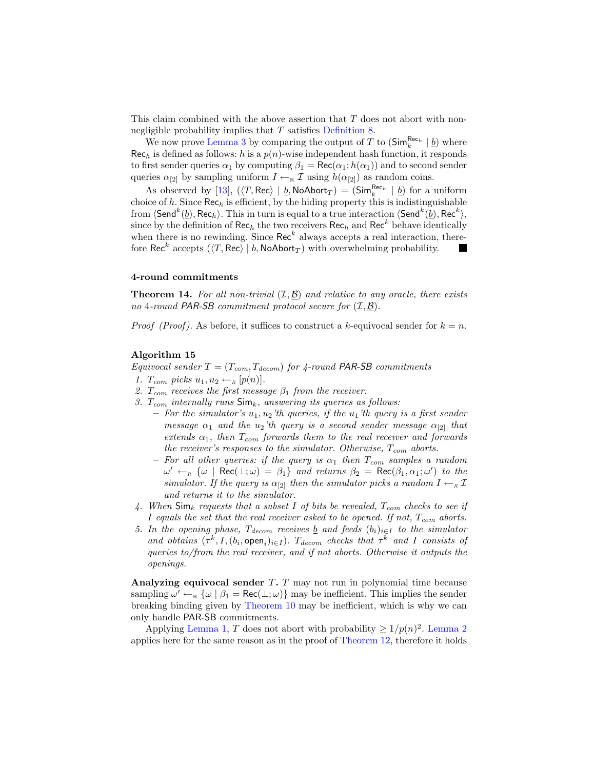This claim combined with the above assertion that *T* does not abort with nonnegligible probability implies that *T* satisfies [Definition 8.](#page-10-0)

We now prove [Lemma 3](#page-12-1) by comparing the output of *T* to  $(\mathsf{Sim}_{k}^{\mathsf{Rec}_{h}} | \underline{b})$  where  $Rec<sub>h</sub>$  is defined as follows: *h* is a  $p(n)$ -wise independent hash function, it responds to first sender queries  $\alpha_1$  by computing  $\beta_1 = \text{Rec}(\alpha_1; h(\alpha_1))$  and to second sender queries  $\alpha_{[2]}$  by sampling uniform  $I \leftarrow_R \mathcal{I}$  using  $h(\alpha_{[2]})$  as random coins.

As observed by [\[13\]](#page-16-12),  $(\langle T, \text{Rec} \rangle \mid \underline{b}, \text{NoAbort}_T) = (\text{Sim}_{k}^{\text{Rec}_{h}} \mid \underline{b})$  for a uniform choice of  $h$ . Since  $\text{Rec}_h$  is efficient, by the hiding property this is indistinguishable from  $\langle$  Send $^{k}(\underline{b}),$  Rec $_{h}$ ). This in turn is equal to a true interaction  $\langle$  Send $^{k}(\underline{b}),$  Rec $^{k}$  $\rangle$ , since by the definition of  $\text{Rec}_h$  the two receivers  $\text{Rec}_h$  and  $\text{Rec}^k$  behave identically when there is no rewinding. Since  $\text{Rec}^k$  always accepts a real interaction, therefore Rec<sup>k</sup> accepts  $(\langle T, \text{Rec} \rangle \mid \underline{b}, \text{NoAbort}_T)$  with overwhelming probability.

# **4-round commitments**

**Theorem 14.** *For all non-trivial* (*I, B*) *and relative to any oracle, there exists no* 4*-round PAR-SB commitment protocol secure for* (*I, B*)*.*

*Proof (Proof)*. As before, it suffices to construct a *k*-equivocal sender for  $k = n$ .

#### **Algorithm 15**

*Equivocal sender T* = (*Tcom, Tdecom*) *for 4-round PAR-SB commitments*

- 1.  $T_{com}$  picks  $u_1, u_2 \leftarrow_R [p(n)]$ .
- *2. Tcom receives the first message β*<sup>1</sup> *from the receiver.*
- *3. Tcom internally runs* Sim*k, answering its queries as follows:*
	- **–** *For the simulator's u*1*, u*2*'th queries, if the u*1*'th query is a first sender message*  $\alpha_1$  *and the*  $u_2$ *'th* query is a second sender message  $\alpha_{[2]}$  *that extends α*1*, then Tcom forwards them to the real receiver and forwards the receiver's responses to the simulator. Otherwise, Tcom aborts.*
	- $-$  *For all other queries: if the query is*  $\alpha_1$  *then*  $T_{com}$  *samples a random*  $\omega' \leftarrow_R \{\omega \mid \text{Rec}(\bot;\omega) = \beta_1\}$  *and returns*  $\beta_2 = \text{Rec}(\beta_1, \alpha_1; \omega')$  *to the simulator. If the query is*  $\alpha_{21}$  *then the simulator picks a random*  $I \leftarrow_R I$ *and returns it to the simulator.*
- *4. When* Sim*<sup>k</sup> requests that a subset I of bits be revealed, Tcom checks to see if I equals the set that the real receiver asked to be opened. If not, Tcom aborts.*
- *5.* In the opening phase,  $T_{decom}$  receives <u>b</u> and feeds  $(b_i)_{i \in I}$  to the simulator *and obtains*  $(\tau^k, I, (b_i, \text{open}_i)_{i \in I})$ *. T<sub>decom</sub> checks that*  $\tau^k$  *and I consists of queries to/from the real receiver, and if not aborts. Otherwise it outputs the openings.*

**Analyzing equivocal sender** *T***.** *T* may not run in polynomial time because sampling  $\omega' \leftarrow_R {\omega \mid \beta_1 = \text{Rec}(\perp;\omega)}$  may be inefficient. This implies the sender breaking binding given by [Theorem 10](#page-10-1) may be inefficient, which is why we can only handle PAR-SB commitments.

Applying [Lemma 1,](#page-11-0) *T* does not abort with probability  $\geq 1/p(n)^2$ . [Lemma 2](#page-12-0) applies here for the same reason as in the proof of [Theorem 12,](#page-12-2) therefore it holds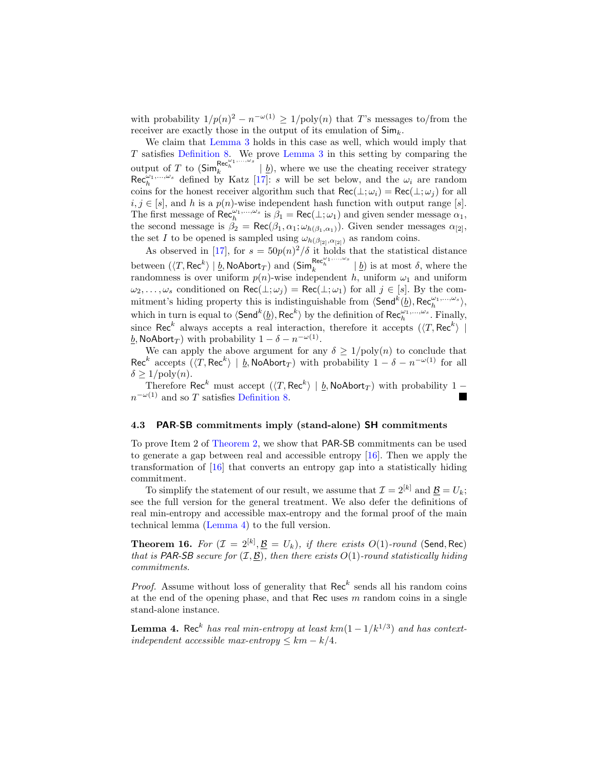with probability  $1/p(n)^2 - n^{-\omega(1)} \geq 1/poly(n)$  that *T*'s messages to/from the receiver are exactly those in the output of its emulation of Sim*k*.

We claim that [Lemma 3](#page-12-1) holds in this case as well, which would imply that *T* satisfies [Definition 8.](#page-10-0) We prove [Lemma 3](#page-12-1) in this setting by comparing the output of *T* to  $(\textsf{Sim}_{k}^{\textsf{Rec}_{h}^{(\alpha_{1},..., \alpha_{s}}}| \underline{b}),$  where we use the cheating receiver strategy  $\operatorname{Rec}_{h}^{\omega_1,\ldots,\omega_s}$  defined by Katz [\[17\]](#page-17-5): *s* will be set below, and the  $\omega_i$  are random coins for the honest receiver algorithm such that  $\text{Rec}(\perp;\omega_i) = \text{Rec}(\perp;\omega_j)$  for all  $i, j \in [s]$ , and *h* is a  $p(n)$ -wise independent hash function with output range [*s*]. The first message of  $\text{Rec}_{h}^{\omega_1,\dots,\omega_s}$  is  $\beta_1 = \text{Rec}(\perp;\omega_1)$  and given sender message  $\alpha_1$ , the second message is  $\beta_2 = \text{Rec}(\beta_1, \alpha_1; \omega_{h(\beta_1, \alpha_1)})$ . Given sender messages  $\alpha_{[2]}$ , the set *I* to be opened is sampled using  $\omega_{h(\beta_{[2]},\alpha_{[2]})}$  as random coins.

As observed in [\[17\]](#page-17-5), for  $s = 50p(n)^2/\delta$  it holds that the statistical distance between  $(\langle T, \text{Rec}^k \rangle \mid \underline{b}, \text{NoAbort}_T)$  and  $(\text{Sim}_k^{\text{Rec}_{h}^{\omega_1, \dots, \omega_s}} \mid \underline{b})$  is at most  $\delta$ , where the randomness is over uniform  $p(n)$ -wise independent *h*, uniform  $\omega_1$  and uniform  $\omega_2, \ldots, \omega_s$  conditioned on Rec( $\bot; \omega_j$ ) = Rec( $\bot; \omega_1$ ) for all  $j \in [s]$ . By the commitment's hiding property this is indistinguishable from  $\langle \textsf{Send}^k(\underline{b}), \textsf{Rec}^{\omega_1, \dots, \omega_s}_{h} \rangle$ , which in turn is equal to  $\langle$ Send<sup>k</sup> $(\underline{b})$ , Rec<sup>k</sup> $\rangle$  by the definition of Rec<sup>ω<sub>1</sub>,...,ω<sub>*s*</sub></sup>. Finally, since Rec<sup>k</sup> always accepts a real interaction, therefore it accepts  $({\langle} T, \text{Rec}^k{\rangle} \parallel$ *b*, NoAbort<sub>*T*</sub>) with probability  $1 - \delta - n^{-\omega(1)}$ .

We can apply the above argument for any  $\delta \geq 1/\text{poly}(n)$  to conclude that Rec<sup>k</sup> accepts  $(\langle T, \text{Rec}^k \rangle \mid \underline{b}, \text{NoAbort}_T)$  with probability  $1 - \delta - n^{-\omega(1)}$  for all  $\delta \geq 1/\text{poly}(n)$ .

Therefore Rec<sup>k</sup> must accept ( $\langle T, \text{Rec}^{k} \rangle \mid \underline{b}$ , NoAbort<sub>*T*</sub>) with probability 1 − *n <sup>−</sup>ω*(1) and so *T* satisfies [Definition 8.](#page-10-0)

#### **4.3 PAR-SB commitments imply (stand-alone) SH commitments**

To prove Item 2 of [Theorem 2,](#page-1-0) we show that PAR-SB commitments can be used to generate a gap between real and accessible entropy [\[16\]](#page-17-6). Then we apply the transformation of [\[16\]](#page-17-6) that converts an entropy gap into a statistically hiding commitment.

To simplify the statement of our result, we assume that  $\mathcal{I} = 2^{[k]}$  and  $\underline{\mathcal{B}} = U_k$ ; see the full version for the general treatment. We also defer the definitions of real min-entropy and accessible max-entropy and the formal proof of the main technical lemma [\(Lemma 4\)](#page-14-0) to the full version.

**Theorem 16.** For  $(\mathcal{I} = 2^{[k]}, \underline{\mathcal{B}} = U_k)$ , if there exists  $O(1)$ *-round* (Send, Rec) *that is* PAR-SB *secure for*  $(\mathcal{I}, \underline{\mathcal{B}})$ *, then there exists*  $O(1)$ *-round statistically hiding commitments.*

*Proof.* Assume without loss of generality that  $\text{Rec}^k$  sends all his random coins at the end of the opening phase, and that Rec uses *m* random coins in a single stand-alone instance.

<span id="page-14-0"></span>**Lemma 4.** Rec<sup>k</sup> has real min-entropy at least  $km(1-1/k^{1/3})$  and has context*independent accessible max-entropy*  $\leq k/m - k/4$ .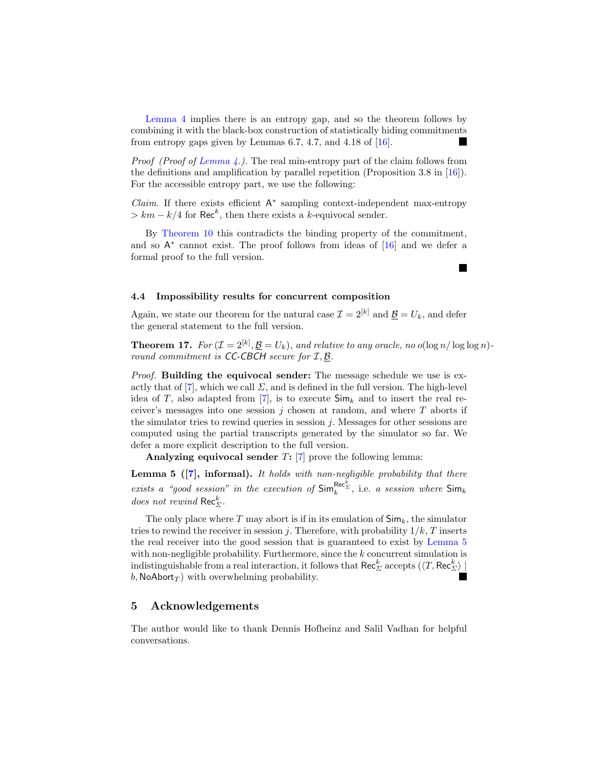[Lemma 4](#page-14-0) implies there is an entropy gap, and so the theorem follows by combining it with the black-box construction of statistically hiding commitments from entropy gaps given by Lemmas 6.7, 4.7, and 4.18 of  $[16]$ .

*Proof (Proof of [Lemma 4.](#page-14-0)).* The real min-entropy part of the claim follows from the definitions and amplification by parallel repetition (Proposition 3.8 in [\[16\]](#page-17-6)). For the accessible entropy part, we use the following:

*Claim.* If there exists efficient A *∗* sampling context-independent max-entropy  $> km - k/4$  for Rec<sup>k</sup>, then there exists a *k*-equivocal sender.

By [Theorem 10](#page-10-1) this contradicts the binding property of the commitment, and so A *∗* cannot exist. The proof follows from ideas of [\[16\]](#page-17-6) and we defer a formal proof to the full version.

<span id="page-15-0"></span>L.

#### **4.4 Impossibility results for concurrent composition**

Again, we state our theorem for the natural case  $\mathcal{I} = 2^{[k]}$  and  $\mathcal{B} = U_k$ , and defer the general statement to the full version.

**Theorem 17.** *For*  $(\mathcal{I} = 2^{[k]}, \underline{\mathcal{B}} = U_k)$ *, and relative to any oracle, no*  $o(\log n / \log \log n)$ *round commitment is CC-CBCH secure for I, B.*

*Proof.* **Building the equivocal sender:** The message schedule we use is exactly that of  $[7]$ , which we call  $\Sigma$ , and is defined in the full version. The high-level idea of *T*, also adapted from [\[7\]](#page-16-13), is to execute  $\mathsf{Sim}_k$  and to insert the real receiver's messages into one session *j* chosen at random, and where *T* aborts if the simulator tries to rewind queries in session *j*. Messages for other sessions are computed using the partial transcripts generated by the simulator so far. We defer a more explicit description to the full version.

**Analyzing equivocal sender** *T***:** [\[7\]](#page-16-13) prove the following lemma:

**Lemma 5 ([\[7\]](#page-16-13), informal).** *It holds with non-negligible probability that there exists a "good session" in the execution of*  $\textsf{Sim}_k^{\textsf{Rec}^k_{\Sigma}}$ , i.e. *a session where*  $\textsf{Sim}_k$ *does not rewind* Rec*<sup>k</sup> Σ.*

The only place where  $T$  may abort is if in its emulation of  $\mathsf{Sim}_k$ , the simulator tries to rewind the receiver in session *j*. Therefore, with probability  $1/k$ , *T* inserts the real receiver into the good session that is guaranteed to exist by [Lemma 5](#page-15-0) with non-negligible probability. Furthermore, since the *k* concurrent simulation is  $\{X_i\}_{i=1}^K$  and  $\{X_i\}_{i=1}^K$  and  $\{X_i\}_{i=1}^K$  accepts  $\{X_i\}_{i=1}^K$  and  $\{X_i\}_{i=1}^K$  and  $\{X_i\}_{i=1}^K$  $b$ , NoAbort $T$ ) with overwhelming probability.

# **5 Acknowledgements**

The author would like to thank Dennis Hofheinz and Salil Vadhan for helpful conversations.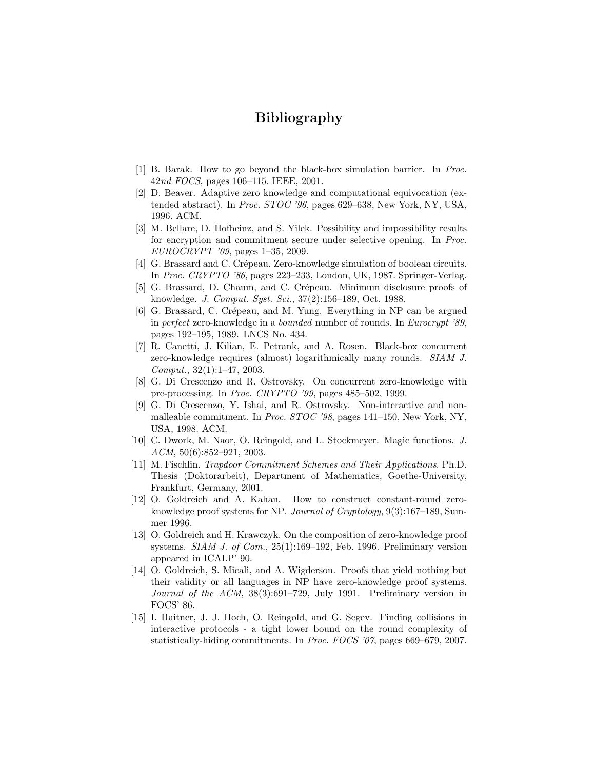# **Bibliography**

- <span id="page-16-11"></span>[1] B. Barak. How to go beyond the black-box simulation barrier. In *Proc.* 42*nd FOCS*, pages 106–115. IEEE, 2001.
- <span id="page-16-6"></span>[2] D. Beaver. Adaptive zero knowledge and computational equivocation (extended abstract). In *Proc. STOC '96*, pages 629–638, New York, NY, USA, 1996. ACM.
- <span id="page-16-10"></span>[3] M. Bellare, D. Hofheinz, and S. Yilek. Possibility and impossibility results for encryption and commitment secure under selective opening. In *Proc. EUROCRYPT '09*, pages 1–35, 2009.
- <span id="page-16-1"></span>[4] G. Brassard and C. Crépeau. Zero-knowledge simulation of boolean circuits. In *Proc. CRYPTO '86*, pages 223–233, London, UK, 1987. Springer-Verlag.
- <span id="page-16-3"></span>[5] G. Brassard, D. Chaum, and C. Crépeau. Minimum disclosure proofs of knowledge. *J. Comput. Syst. Sci.*, 37(2):156–189, Oct. 1988.
- <span id="page-16-4"></span>[6] G. Brassard, C. Crépeau, and M. Yung. Everything in NP can be argued in *perfect* zero-knowledge in a *bounded* number of rounds. In *Eurocrypt '89*, pages 192–195, 1989. LNCS No. 434.
- <span id="page-16-13"></span>[7] R. Canetti, J. Kilian, E. Petrank, and A. Rosen. Black-box concurrent zero-knowledge requires (almost) logarithmically many rounds. *SIAM J. Comput.*, 32(1):1–47, 2003.
- <span id="page-16-8"></span>[8] G. Di Crescenzo and R. Ostrovsky. On concurrent zero-knowledge with pre-processing. In *Proc. CRYPTO '99*, pages 485–502, 1999.
- <span id="page-16-7"></span>[9] G. Di Crescenzo, Y. Ishai, and R. Ostrovsky. Non-interactive and nonmalleable commitment. In *Proc. STOC '98*, pages 141–150, New York, NY, USA, 1998. ACM.
- <span id="page-16-9"></span>[10] C. Dwork, M. Naor, O. Reingold, and L. Stockmeyer. Magic functions. *J. ACM*, 50(6):852–921, 2003.
- <span id="page-16-5"></span>[11] M. Fischlin. *Trapdoor Commitment Schemes and Their Applications*. Ph.D. Thesis (Doktorarbeit), Department of Mathematics, Goethe-University, Frankfurt, Germany, 2001.
- <span id="page-16-14"></span>[12] O. Goldreich and A. Kahan. How to construct constant-round zeroknowledge proof systems for NP. *Journal of Cryptology*, 9(3):167–189, Summer 1996.
- <span id="page-16-12"></span>[13] O. Goldreich and H. Krawczyk. On the composition of zero-knowledge proof systems. *SIAM J. of Com.*, 25(1):169–192, Feb. 1996. Preliminary version appeared in ICALP' 90.
- <span id="page-16-0"></span>[14] O. Goldreich, S. Micali, and A. Wigderson. Proofs that yield nothing but their validity or all languages in NP have zero-knowledge proof systems. *Journal of the ACM*, 38(3):691–729, July 1991. Preliminary version in FOCS' 86.
- <span id="page-16-2"></span>[15] I. Haitner, J. J. Hoch, O. Reingold, and G. Segev. Finding collisions in interactive protocols - a tight lower bound on the round complexity of statistically-hiding commitments. In *Proc. FOCS '07*, pages 669–679, 2007.